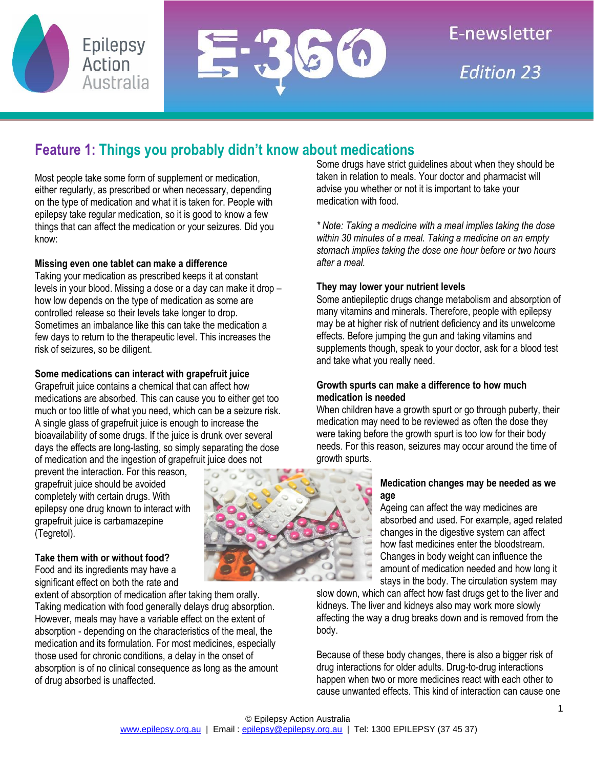

# **Feature 1: Things you probably didn't know about medications**

Most people take some form of supplement or medication, either regularly, as prescribed or when necessary, depending on the type of medication and what it is taken for. People with epilepsy take regular medication, so it is good to know a few things that can affect the medication or your seizures. Did you know:

## **Missing even one tablet can make a difference**

Taking your medication as prescribed keeps it at constant levels in your blood. Missing a dose or a day can make it drop – how low depends on the type of medication as some are controlled release so their levels take longer to drop. Sometimes an imbalance like this can take the medication a few days to return to the therapeutic level. This increases the risk of seizures, so be diligent.

## **Some medications can interact with grapefruit juice**

Grapefruit juice contains a chemical that can affect how medications are absorbed. This can cause you to either get too much or too little of what you need, which can be a seizure risk. A single glass of grapefruit juice is enough to increase the bioavailability of some drugs. If the juice is drunk over several days the effects are long-lasting, so simply separating the dose of medication and the ingestion of grapefruit juice does not

prevent the interaction. For this reason, grapefruit juice should be avoided completely with certain drugs. With epilepsy one drug known to interact with grapefruit juice is carbamazepine (Tegretol).

## **Take them with or without food?**

Food and its ingredients may have a significant effect on both the rate and

extent of absorption of medication after taking them orally. Taking medication with food generally delays drug absorption. However, meals may have a variable effect on the extent of absorption - depending on the characteristics of the meal, the medication and its formulation. For most medicines, especially those used for chronic conditions, a delay in the onset of absorption is of no clinical consequence as long as the amount of drug absorbed is unaffected.



*\* Note: Taking a medicine with a meal implies taking the dose within 30 minutes of a meal. Taking a medicine on an empty stomach implies taking the dose one hour before or two hours after a meal.*

## **They may lower your nutrient levels**

Some antiepileptic drugs change metabolism and absorption of many vitamins and minerals. Therefore, people with epilepsy may be at higher risk of nutrient deficiency and its unwelcome effects. Before jumping the gun and taking vitamins and supplements though, speak to your doctor, ask for a blood test and take what you really need.

## **Growth spurts can make a difference to how much medication is needed**

When children have a growth spurt or go through puberty, their medication may need to be reviewed as often the dose they were taking before the growth spurt is too low for their body needs. For this reason, seizures may occur around the time of growth spurts.

#### **Medication changes may be needed as we age**

Ageing can affect the way medicines are absorbed and used. For example, aged related changes in the digestive system can affect how fast medicines enter the bloodstream. Changes in body weight can influence the amount of medication needed and how long it stays in the body. The circulation system may

slow down, which can affect how fast drugs get to the liver and kidneys. The liver and kidneys also may work more slowly affecting the way a drug breaks down and is removed from the body.

Because of these body changes, there is also a bigger risk of drug interactions for older adults. Drug-to-drug interactions happen when two or more medicines react with each other to cause unwanted effects. This kind of interaction can cause one

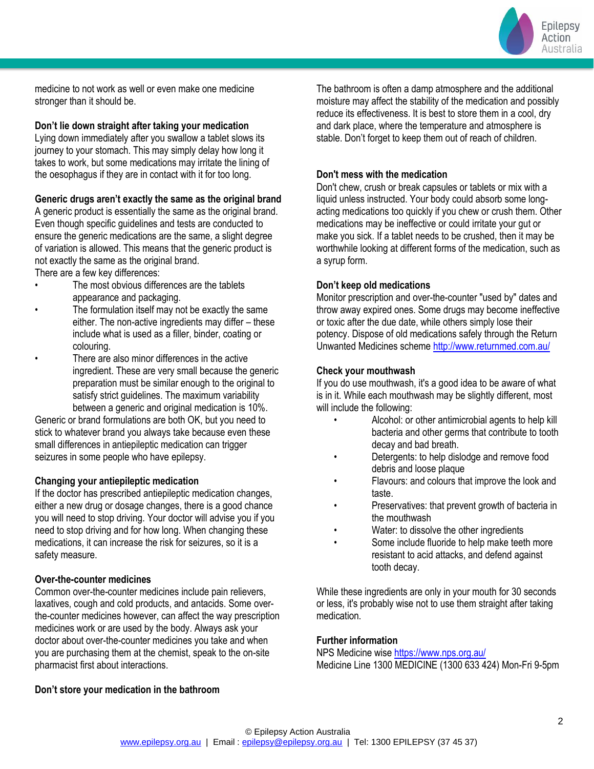Epilepsy Action Australia

medicine to not work as well or even make one medicine stronger than it should be.

#### **Don't lie down straight after taking your medication**

Lying down immediately after you swallow a tablet slows its journey to your stomach. This may simply delay how long it takes to work, but some medications may irritate the lining of the oesophagus if they are in contact with it for too long.

### **Generic drugs aren't exactly the same as the original brand**

A generic product is essentially the same as the original brand. Even though specific guidelines and tests are conducted to ensure the generic medications are the same, a slight degree of variation is allowed. This means that the generic product is not exactly the same as the original brand.

There are a few key differences:

- The most obvious differences are the tablets appearance and packaging.
- The formulation itself may not be exactly the same either. The non-active ingredients may differ – these include what is used as a filler, binder, coating or colouring.
- There are also minor differences in the active ingredient. These are very small because the generic preparation must be similar enough to the original to satisfy strict guidelines. The maximum variability between a generic and original medication is 10%.

Generic or brand formulations are both OK, but you need to stick to whatever brand you always take because even these small differences in antiepileptic medication can trigger seizures in some people who have epilepsy.

## **Changing your antiepileptic medication**

If the doctor has prescribed antiepileptic medication changes, either a new drug or dosage changes, there is a good chance you will need to stop driving. Your doctor will advise you if you need to stop driving and for how long. When changing these medications, it can increase the risk for seizures, so it is a safety measure.

## **Over-the-counter medicines**

Common over-the-counter medicines include pain relievers, laxatives, cough and cold products, and antacids. Some overthe-counter medicines however, can affect the way prescription medicines work or are used by the body. Always ask your doctor about over-the-counter medicines you take and when you are purchasing them at the chemist, speak to the on-site pharmacist first about interactions.

## **Don't store your medication in the bathroom**

The bathroom is often a damp atmosphere and the additional moisture may affect the stability of the medication and possibly reduce its effectiveness. It is best to store them in a cool, dry and dark place, where the temperature and atmosphere is stable. Don't forget to keep them out of reach of children.

### **Don't mess with the medication**

Don't chew, crush or break capsules or tablets or mix with a liquid unless instructed. Your body could absorb some longacting medications too quickly if you chew or crush them. Other medications may be ineffective or could irritate your gut or make you sick. If a tablet needs to be crushed, then it may be worthwhile looking at different forms of the medication, such as a syrup form.

### **Don't keep old medications**

Monitor prescription and over-the-counter "used by" dates and throw away expired ones. Some drugs may become ineffective or toxic after the due date, while others simply lose their potency. Dispose of old medications safely through the Return Unwanted Medicines schem[e http://www.returnmed.com.au/](http://www.returnmed.com.au/)

### **Check your mouthwash**

If you do use mouthwash, it's a good idea to be aware of what is in it. While each mouthwash may be slightly different, most will include the following:

- Alcohol: or other antimicrobial agents to help kill bacteria and other germs that contribute to tooth decay and bad breath.
- Detergents: to help dislodge and remove food debris and loose plaque
- Flavours: and colours that improve the look and taste.
- Preservatives: that prevent growth of bacteria in the mouthwash
- Water: to dissolve the other ingredients
- Some include fluoride to help make teeth more resistant to acid attacks, and defend against tooth decay.

While these ingredients are only in your mouth for 30 seconds or less, it's probably wise not to use them straight after taking medication.

## **Further information**

NPS Medicine wis[e https://www.nps.org.au/](https://www.nps.org.au/) Medicine Line 1300 MEDICINE (1300 633 424) Mon-Fri 9-5pm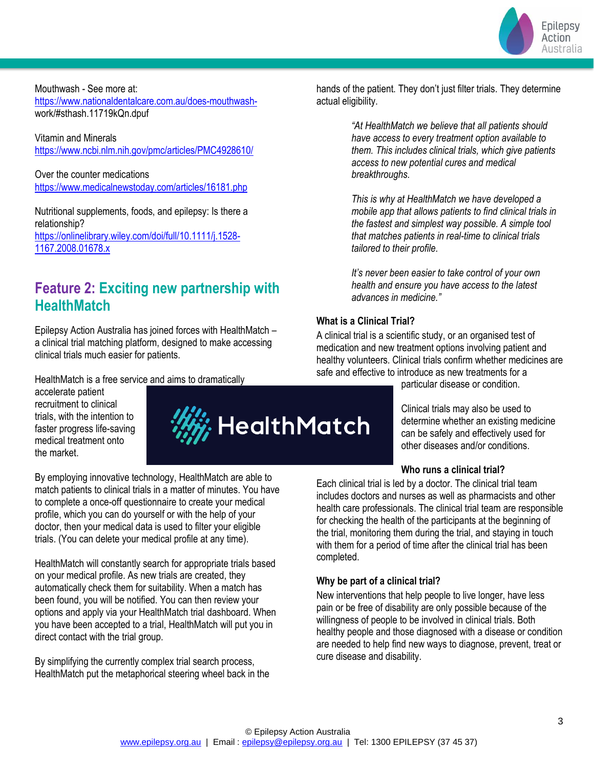

Mouthwash - See more at: [https://www.nationaldentalcare.com.au/does-mouthwash](https://www.nationaldentalcare.com.au/does-mouthwash-)work/#sthash.11719kQn.dpuf

Vitamin and Minerals <https://www.ncbi.nlm.nih.gov/pmc/articles/PMC4928610/>

Over the counter medications <https://www.medicalnewstoday.com/articles/16181.php>

Nutritional supplements, foods, and epilepsy: Is there a relationship? [https://onlinelibrary.wiley.com/doi/full/10.1111/j.1528-](https://onlinelibrary.wiley.com/doi/full/10.1111/j.1528-1167.2008.01678.x) [1167.2008.01678.x](https://onlinelibrary.wiley.com/doi/full/10.1111/j.1528-1167.2008.01678.x)

# **Feature 2: Exciting new partnership with HealthMatch**

Epilepsy Action Australia has joined forces with HealthMatch – a clinical trial matching platform, designed to make accessing clinical trials much easier for patients.

HealthMatch is a free service and aims to dramatically

accelerate patient recruitment to clinical trials, with the intention to faster progress life-saving medical treatment onto the market.



By employing innovative technology, HealthMatch are able to match patients to clinical trials in a matter of minutes. You have to complete a once-off questionnaire to create your medical profile, which you can do yourself or with the help of your doctor, then your medical data is used to filter your eligible trials. (You can delete your medical profile at any time).

HealthMatch will constantly search for appropriate trials based on your medical profile. As new trials are created, they automatically check them for suitability. When a match has been found, you will be notified. You can then review your options and apply via your HealthMatch trial dashboard. When you have been accepted to a trial, HealthMatch will put you in direct contact with the trial group.

By simplifying the currently complex trial search process, HealthMatch put the metaphorical steering wheel back in the hands of the patient. They don't just filter trials. They determine actual eligibility.

> *"At HealthMatch we believe that all patients should have access to every treatment option available to them. This includes clinical trials, which give patients access to new potential cures and medical breakthroughs.*

> *This is why at HealthMatch we have developed a mobile app that allows patients to find clinical trials in the fastest and simplest way possible. A simple tool that matches patients in real-time to clinical trials tailored to their profile.*

*It's never been easier to take control of your own health and ensure you have access to the latest advances in medicine."*

### **What is a Clinical Trial?**

A clinical trial is a scientific study, or an organised test of medication and new treatment options involving patient and healthy volunteers. Clinical trials confirm whether medicines are safe and effective to introduce as new treatments for a

particular disease or condition.

Clinical trials may also be used to determine whether an existing medicine can be safely and effectively used for other diseases and/or conditions.

#### **Who runs a clinical trial?**

Each clinical trial is led by a doctor. The clinical trial team includes doctors and nurses as well as pharmacists and other health care professionals. The clinical trial team are responsible for checking the health of the participants at the beginning of the trial, monitoring them during the trial, and staying in touch with them for a period of time after the clinical trial has been completed.

#### **Why be part of a clinical trial?**

New interventions that help people to live longer, have less pain or be free of disability are only possible because of the willingness of people to be involved in clinical trials. Both healthy people and those diagnosed with a disease or condition are needed to help find new ways to diagnose, prevent, treat or cure disease and disability.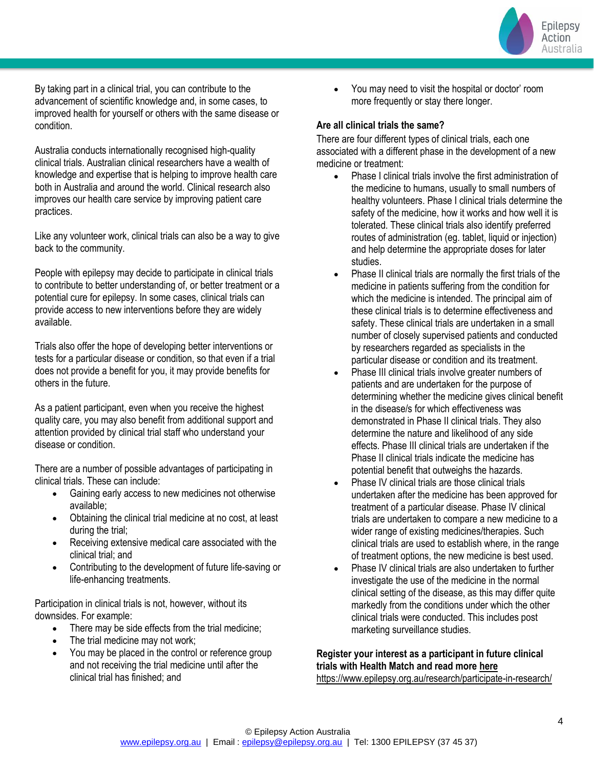

By taking part in a clinical trial, you can contribute to the advancement of scientific knowledge and, in some cases, to improved health for yourself or others with the same disease or condition.

Australia conducts internationally recognised high-quality clinical trials. Australian clinical researchers have a wealth of knowledge and expertise that is helping to improve health care both in Australia and around the world. Clinical research also improves our health care service by improving patient care practices.

Like any volunteer work, clinical trials can also be a way to give back to the community.

People with epilepsy may decide to participate in clinical trials to contribute to better understanding of, or better treatment or a potential cure for epilepsy. In some cases, clinical trials can provide access to new interventions before they are widely available.

Trials also offer the hope of developing better interventions or tests for a particular disease or condition, so that even if a trial does not provide a benefit for you, it may provide benefits for others in the future.

As a patient participant, even when you receive the highest quality care, you may also benefit from additional support and attention provided by clinical trial staff who understand your disease or condition.

There are a number of possible advantages of participating in clinical trials. These can include:

- Gaining early access to new medicines not otherwise available;
- Obtaining the clinical trial medicine at no cost, at least during the trial;
- Receiving extensive medical care associated with the clinical trial; and
- Contributing to the development of future life-saving or life-enhancing treatments.

Participation in clinical trials is not, however, without its downsides. For example:

- There may be side effects from the trial medicine;
- The trial medicine may not work;
- You may be placed in the control or reference group and not receiving the trial medicine until after the clinical trial has finished; and

• You may need to visit the hospital or doctor' room more frequently or stay there longer.

#### **Are all clinical trials the same?**

There are four different types of clinical trials, each one associated with a different phase in the development of a new medicine or treatment:

- Phase I clinical trials involve the first administration of the medicine to humans, usually to small numbers of healthy volunteers. Phase I clinical trials determine the safety of the medicine, how it works and how well it is tolerated. These clinical trials also identify preferred routes of administration (eg. tablet, liquid or injection) and help determine the appropriate doses for later studies.
- Phase II clinical trials are normally the first trials of the medicine in patients suffering from the condition for which the medicine is intended. The principal aim of these clinical trials is to determine effectiveness and safety. These clinical trials are undertaken in a small number of closely supervised patients and conducted by researchers regarded as specialists in the particular disease or condition and its treatment.
- Phase III clinical trials involve greater numbers of patients and are undertaken for the purpose of determining whether the medicine gives clinical benefit in the disease/s for which effectiveness was demonstrated in Phase II clinical trials. They also determine the nature and likelihood of any side effects. Phase III clinical trials are undertaken if the Phase II clinical trials indicate the medicine has potential benefit that outweighs the hazards.
- Phase IV clinical trials are those clinical trials undertaken after the medicine has been approved for treatment of a particular disease. Phase IV clinical trials are undertaken to compare a new medicine to a wider range of existing medicines/therapies. Such clinical trials are used to establish where, in the range of treatment options, the new medicine is best used.
- Phase IV clinical trials are also undertaken to further investigate the use of the medicine in the normal clinical setting of the disease, as this may differ quite markedly from the conditions under which the other clinical trials were conducted. This includes post marketing surveillance studies.

#### **Register your interest as a participant in future clinical trials with Health Match and read more here** <https://www.epilepsy.org.au/research/participate-in-research/>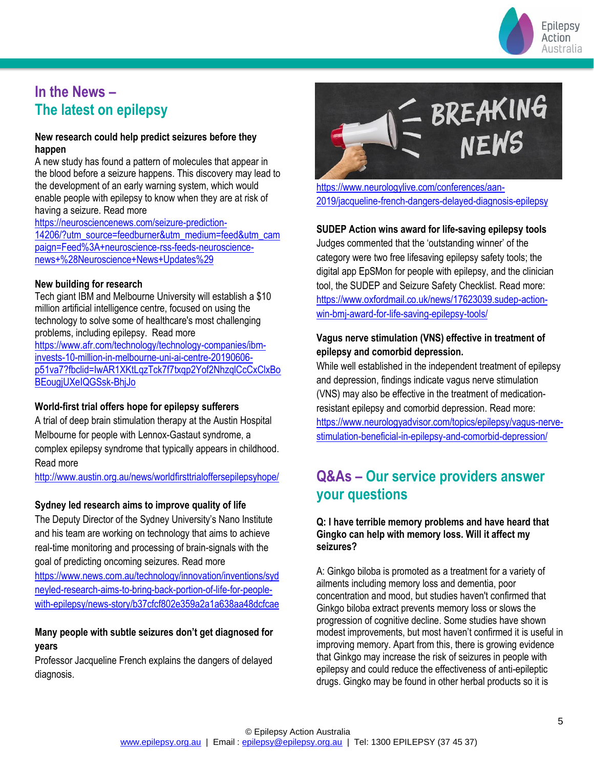

# **In the News – The latest on epilepsy**

### **New research could help predict seizures before they happen**

A new study has found a pattern of molecules that appear in the blood before a seizure happens. This discovery may lead to the development of an early warning system, which would enable people with epilepsy to know when they are at risk of having a seizure. Read more

[https://neurosciencenews.com/seizure-prediction-](https://neurosciencenews.com/seizure-prediction-14206/?utm_source=feedburner&utm_medium=feed&utm_campaign=Feed%3A+neuroscience-rss-feeds-neuroscience-news+%28Neuroscience+News+Updates%29)[14206/?utm\\_source=feedburner&utm\\_medium=feed&utm\\_cam](https://neurosciencenews.com/seizure-prediction-14206/?utm_source=feedburner&utm_medium=feed&utm_campaign=Feed%3A+neuroscience-rss-feeds-neuroscience-news+%28Neuroscience+News+Updates%29) [paign=Feed%3A+neuroscience-rss-feeds-neuroscience](https://neurosciencenews.com/seizure-prediction-14206/?utm_source=feedburner&utm_medium=feed&utm_campaign=Feed%3A+neuroscience-rss-feeds-neuroscience-news+%28Neuroscience+News+Updates%29)[news+%28Neuroscience+News+Updates%29](https://neurosciencenews.com/seizure-prediction-14206/?utm_source=feedburner&utm_medium=feed&utm_campaign=Feed%3A+neuroscience-rss-feeds-neuroscience-news+%28Neuroscience+News+Updates%29)

### **New building for research**

Tech giant IBM and Melbourne University will establish a \$10 million artificial intelligence centre, focused on using the technology to solve some of healthcare's most challenging problems, including epilepsy. Read more [https://www.afr.com/technology/technology-companies/ibm](https://www.afr.com/technology/technology-companies/ibm-invests-10-million-in-melbourne-uni-ai-centre-20190606-p51va7?fbclid=IwAR1XKtLqzTck7f7txqp2Yof2NhzqlCcCxClxBoBEougjUXeIQGSsk-BhjJo)[invests-10-million-in-melbourne-uni-ai-centre-20190606](https://www.afr.com/technology/technology-companies/ibm-invests-10-million-in-melbourne-uni-ai-centre-20190606-p51va7?fbclid=IwAR1XKtLqzTck7f7txqp2Yof2NhzqlCcCxClxBoBEougjUXeIQGSsk-BhjJo) [p51va7?fbclid=IwAR1XKtLqzTck7f7txqp2Yof2NhzqlCcCxClxBo](https://www.afr.com/technology/technology-companies/ibm-invests-10-million-in-melbourne-uni-ai-centre-20190606-p51va7?fbclid=IwAR1XKtLqzTck7f7txqp2Yof2NhzqlCcCxClxBoBEougjUXeIQGSsk-BhjJo)

[BEougjUXeIQGSsk-BhjJo](https://www.afr.com/technology/technology-companies/ibm-invests-10-million-in-melbourne-uni-ai-centre-20190606-p51va7?fbclid=IwAR1XKtLqzTck7f7txqp2Yof2NhzqlCcCxClxBoBEougjUXeIQGSsk-BhjJo)

## **World-first trial offers hope for epilepsy sufferers**

A trial of deep brain stimulation therapy at the Austin Hospital Melbourne for people with Lennox-Gastaut syndrome, a complex epilepsy syndrome that typically appears in childhood. Read more

<http://www.austin.org.au/news/worldfirsttrialoffersepilepsyhope/>

## **Sydney led research aims to improve quality of life**

The Deputy Director of the Sydney University's Nano Institute and his team are working on technology that aims to achieve real-time monitoring and processing of brain-signals with the goal of predicting oncoming seizures. Read more

[https://www.news.com.au/technology/innovation/inventions/syd](https://www.news.com.au/technology/innovation/inventions/sydneyled-research-aims-to-bring-back-portion-of-life-for-people-with-epilepsy/news-story/b37cfcf802e359a2a1a638aa48dcfcae) [neyled-research-aims-to-bring-back-portion-of-life-for-people](https://www.news.com.au/technology/innovation/inventions/sydneyled-research-aims-to-bring-back-portion-of-life-for-people-with-epilepsy/news-story/b37cfcf802e359a2a1a638aa48dcfcae)[with-epilepsy/news-story/b37cfcf802e359a2a1a638aa48dcfcae](https://www.news.com.au/technology/innovation/inventions/sydneyled-research-aims-to-bring-back-portion-of-life-for-people-with-epilepsy/news-story/b37cfcf802e359a2a1a638aa48dcfcae)

## **Many people with subtle seizures don't get diagnosed for years**

Professor Jacqueline French explains the dangers of delayed diagnosis.



[https://www.neurologylive.com/conferences/aan-](https://www.neurologylive.com/conferences/aan-2019/jacqueline-french-dangers-delayed-diagnosis-epilepsy)[2019/jacqueline-french-dangers-delayed-diagnosis-epilepsy](https://www.neurologylive.com/conferences/aan-2019/jacqueline-french-dangers-delayed-diagnosis-epilepsy)

## **SUDEP Action wins award for life-saving epilepsy tools**

Judges commented that the 'outstanding winner' of the category were two free lifesaving epilepsy safety tools; the digital app EpSMon for people with epilepsy, and the clinician tool, the SUDEP and Seizure Safety Checklist. Read more: [https://www.oxfordmail.co.uk/news/17623039.sudep-action](https://www.oxfordmail.co.uk/news/17623039.sudep-action-win-bmj-award-for-life-saving-epilepsy-tools/)[win-bmj-award-for-life-saving-epilepsy-tools/](https://www.oxfordmail.co.uk/news/17623039.sudep-action-win-bmj-award-for-life-saving-epilepsy-tools/)

## **Vagus nerve stimulation (VNS) effective in treatment of epilepsy and comorbid depression.**

While well established in the independent treatment of epilepsy and depression, findings indicate vagus nerve stimulation (VNS) may also be effective in the treatment of medicationresistant epilepsy and comorbid depression. Read more: [https://www.neurologyadvisor.com/topics/epilepsy/vagus-nerve](https://www.neurologyadvisor.com/topics/epilepsy/vagus-nerve-stimulation-beneficial-in-epilepsy-and-comorbid-depression/)[stimulation-beneficial-in-epilepsy-and-comorbid-depression/](https://www.neurologyadvisor.com/topics/epilepsy/vagus-nerve-stimulation-beneficial-in-epilepsy-and-comorbid-depression/)

# **Q&As – Our service providers answer your questions**

#### **Q: I have terrible memory problems and have heard that Gingko can help with memory loss. Will it affect my seizures?**

A: Ginkgo biloba is promoted as a treatment for a variety of ailments including memory loss and dementia, poor concentration and mood, but studies haven't confirmed that Ginkgo biloba extract prevents memory loss or slows the progression of cognitive decline. Some studies have shown modest improvements, but most haven't confirmed it is useful in improving memory. Apart from this, there is growing evidence that Ginkgo may increase the risk of seizures in people with epilepsy and could reduce the effectiveness of anti-epileptic drugs. Gingko may be found in other herbal products so it is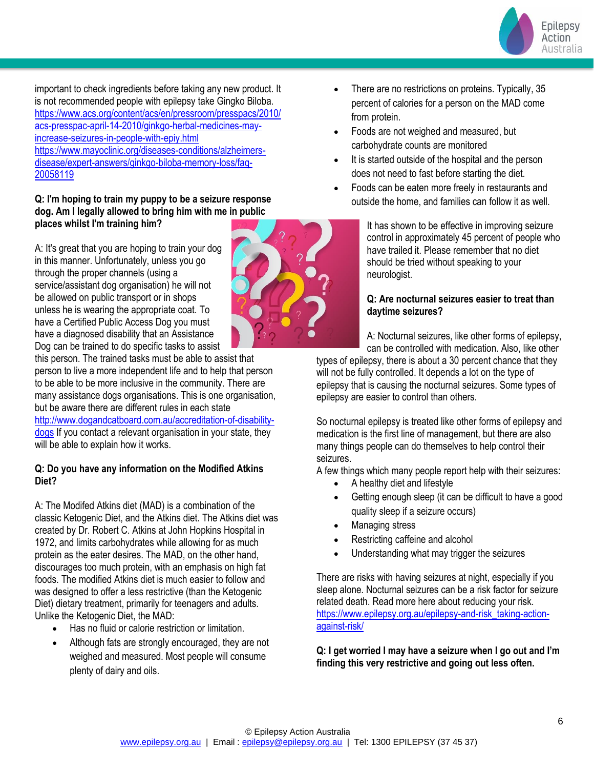

important to check ingredients before taking any new product. It is not recommended people with epilepsy take Gingko Biloba. [https://www.acs.org/content/acs/en/pressroom/presspacs/2010/](https://www.acs.org/content/acs/en/pressroom/presspacs/2010/acs-presspac-april-14-2010/ginkgo-herbal-medicines-may-increase-seizures-in-people-with-epiy.html) [acs-presspac-april-14-2010/ginkgo-herbal-medicines-may](https://www.acs.org/content/acs/en/pressroom/presspacs/2010/acs-presspac-april-14-2010/ginkgo-herbal-medicines-may-increase-seizures-in-people-with-epiy.html)[increase-seizures-in-people-with-epiy.html](https://www.acs.org/content/acs/en/pressroom/presspacs/2010/acs-presspac-april-14-2010/ginkgo-herbal-medicines-may-increase-seizures-in-people-with-epiy.html) [https://www.mayoclinic.org/diseases-conditions/alzheimers](https://www.mayoclinic.org/diseases-conditions/alzheimers-disease/expert-answers/ginkgo-biloba-memory-loss/faq-20058119)[disease/expert-answers/ginkgo-biloba-memory-loss/faq-](https://www.mayoclinic.org/diseases-conditions/alzheimers-disease/expert-answers/ginkgo-biloba-memory-loss/faq-20058119)[20058119](https://www.mayoclinic.org/diseases-conditions/alzheimers-disease/expert-answers/ginkgo-biloba-memory-loss/faq-20058119)

### **Q: I'm hoping to train my puppy to be a seizure response dog. Am I legally allowed to bring him with me in public places whilst I'm training him?**

A: It's great that you are hoping to train your dog in this manner. Unfortunately, unless you go through the proper channels (using a service/assistant dog organisation) he will not be allowed on public transport or in shops unless he is wearing the appropriate coat. To have a Certified Public Access Dog you must have a diagnosed disability that an Assistance Dog can be trained to do specific tasks to assist

this person. The trained tasks must be able to assist that person to live a more independent life and to help that person to be able to be more inclusive in the community. There are many assistance dogs organisations. This is one organisation, but be aware there are different rules in each state [http://www.dogandcatboard.com.au/accreditation-of-disability](http://www.dogandcatboard.com.au/accreditation-of-disability-dogs)[dogs](http://www.dogandcatboard.com.au/accreditation-of-disability-dogs) If you contact a relevant organisation in your state, they will be able to explain how it works.

### **Q: Do you have any information on the Modified Atkins Diet?**

A: The Modifed Atkins diet (MAD) is a combination of the classic Ketogenic Diet, and the Atkins diet. The Atkins diet was created by Dr. Robert C. Atkins at John Hopkins Hospital in 1972, and limits carbohydrates while allowing for as much protein as the eater desires. The MAD, on the other hand, discourages too much protein, with an emphasis on high fat foods. The modified Atkins diet is much easier to follow and was designed to offer a less restrictive (than the Ketogenic Diet) dietary treatment, primarily for teenagers and adults. Unlike the Ketogenic Diet, the MAD:

- Has no fluid or calorie restriction or limitation.
- Although fats are strongly encouraged, they are not weighed and measured. Most people will consume plenty of dairy and oils.



- There are no restrictions on proteins. Typically, 35 percent of calories for a person on the MAD come from protein.
- Foods are not weighed and measured, but carbohydrate counts are monitored
- It is started outside of the hospital and the person does not need to fast before starting the diet.
- Foods can be eaten more freely in restaurants and outside the home, and families can follow it as well.

It has shown to be effective in improving seizure control in approximately 45 percent of people who have trailed it. Please remember that no diet should be tried without speaking to your neurologist.

## **Q: Are nocturnal seizures easier to treat than daytime seizures?**

A: Nocturnal seizures, like other forms of epilepsy, can be controlled with medication. Also, like other

types of epilepsy, there is about a 30 percent chance that they will not be fully controlled. It depends a lot on the type of epilepsy that is causing the nocturnal seizures. Some types of epilepsy are easier to control than others.

So nocturnal epilepsy is treated like other forms of epilepsy and medication is the first line of management, but there are also many things people can do themselves to help control their seizures.

A few things which many people report help with their seizures:

- A healthy diet and lifestyle
- Getting enough sleep (it can be difficult to have a good quality sleep if a seizure occurs)
- Managing stress
- Restricting caffeine and alcohol
- Understanding what may trigger the seizures

There are risks with having seizures at night, especially if you sleep alone. Nocturnal seizures can be a risk factor for seizure related death. Read more here about reducing your risk. [https://www.epilepsy.org.au/epilepsy-and-risk\\_taking-action](https://www.epilepsy.org.au/epilepsy-and-risk_taking-action-against-risk/)[against-risk/](https://www.epilepsy.org.au/epilepsy-and-risk_taking-action-against-risk/)

**Q: I get worried I may have a seizure when I go out and I'm finding this very restrictive and going out less often.**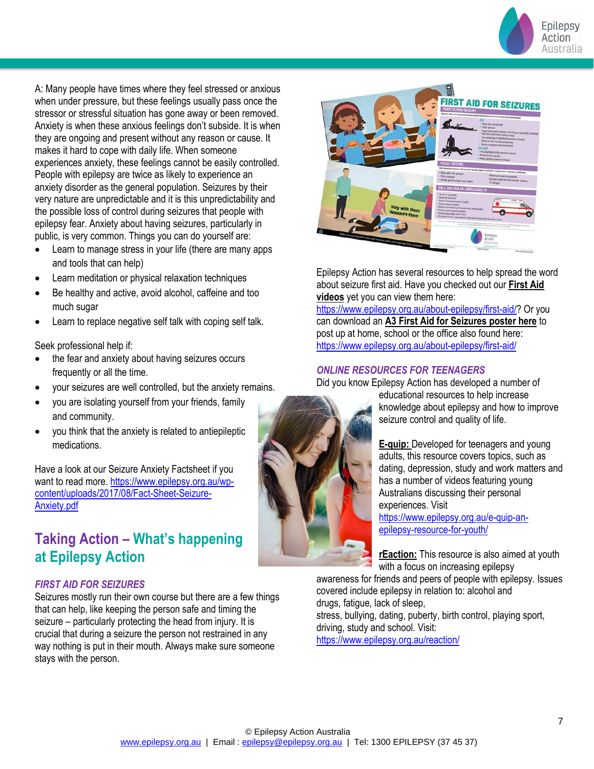

A: Many people have times where they feel stressed or anxious when under pressure, but these feelings usually pass once the stressor or stressful situation has gone away or been removed. Anxiety is when these anxious feelings don't subside. It is when they are ongoing and present without any reason or cause. It makes it hard to cope with daily life. When someone experiences anxiety, these feelings cannot be easily controlled. People with epilepsy are twice as likely to experience an anxiety disorder as the general population. Seizures by their very nature are unpredictable and it is this unpredictability and the possible loss of control during seizures that people with epilepsy fear. Anxiety about having seizures, particularly in public, is very common. Things you can do yourself are:

- Learn to manage stress in your life (there are many apps and tools that can help)
- Learn meditation or physical relaxation techniques
- Be healthy and active, avoid alcohol, caffeine and too much sugar
- Learn to replace negative self talk with coping self talk.

Seek professional help if:

- the fear and anxiety about having seizures occurs frequently or all the time.
- your seizures are well controlled, but the anxiety remains.
- you are isolating yourself from your friends, family and community.
- you think that the anxiety is related to antiepileptic medications.

Have a look at our Seizure Anxiety Factsheet if you want to read more[. https://www.epilepsy.org.au/wp](https://www.epilepsy.org.au/wp-content/uploads/2017/08/Fact-Sheet-Seizure-Anxiety.pdf)[content/uploads/2017/08/Fact-Sheet-Seizure-](https://www.epilepsy.org.au/wp-content/uploads/2017/08/Fact-Sheet-Seizure-Anxiety.pdf)[Anxiety.pdf](https://www.epilepsy.org.au/wp-content/uploads/2017/08/Fact-Sheet-Seizure-Anxiety.pdf)

# **Taking Action – What's happening at Epilepsy Action**

## *FIRST AID FOR SEIZURES*

Seizures mostly run their own course but there are a few things that can help, like keeping the person safe and timing the seizure – particularly protecting the head from injury. It is crucial that during a seizure the person not restrained in any way nothing is put in their mouth. Always make sure someone stays with the person.



Epilepsy Action has several resources to help spread the word about seizure first aid. Have you checked out our **[First Aid](https://www.vision6.com.au/ch/10583/2c6g0ny/2430866/Llvhe_BXD7d5rEEAiYss7hBrN_N.eoEWMYHF9eT5.html)  [videos](https://www.vision6.com.au/ch/10583/2c6g0ny/2430866/Llvhe_BXD7d5rEEAiYss7hBrN_N.eoEWMYHF9eT5.html)** yet you can view them here:

[https://www.epilepsy.org.au/about-epilepsy/first-aid/?](https://www.epilepsy.org.au/about-epilepsy/first-aid/) Or you can download an **[A3 First Aid for Seizures poster here](https://www.vision6.com.au/ch/10583/2c6g0ny/2430866/Llvhe_BXD7d5rEEAiYss7hBrN_N.eoEWMYHF9eT5-1.html)** to post up at home, school or the office also found here: <https://www.epilepsy.org.au/about-epilepsy/first-aid/>

#### *ONLINE RESOURCES FOR TEENAGERS*

Did you know Epilepsy Action has developed a number of



educational resources to help increase knowledge about epilepsy and how to improve seizure control and quality of life.

**[E-quip:](https://www.vision6.com.au/ch/10583/2c6g0ny/2430868/Llvhe_BXD7d5rEEAiYsst1ALmH.EQ8p5mL1aWZXe.html)** [D](https://www.vision6.com.au/ch/10583/2c6g0ny/2430868/Llvhe_BXD7d5rEEAiYsst1ALmH.EQ8p5mL1aWZXe-1.html)eveloped for teenagers and young adults, this resource covers topics, such as dating, depression, study and work matters and has a number of videos featuring young Australians discussing their personal experiences. Visit

[https://www.epilepsy.org.au/e-quip-an](https://www.epilepsy.org.au/e-quip-an-epilepsy-resource-for-youth/)[epilepsy-resource-for-youth/](https://www.epilepsy.org.au/e-quip-an-epilepsy-resource-for-youth/)

**[rEaction](https://www.vision6.com.au/ch/10583/2c6g0ny/2430869/Llvhe_BXD7d5rEEAiYssCyX5ngoARhvPCKTqfJq4.html)[:](https://www.vision6.com.au/ch/10583/2c6g0ny/2430869/Llvhe_BXD7d5rEEAiYssCyX5ngoARhvPCKTqfJq4-1.html)** This resource is also aimed at youth with a focus on increasing epilepsy

awareness for friends and peers of people with epilepsy. Issues covered include epilepsy in relation to: alcohol and drugs, fatigue, lack of sleep,

stress, bullying, dating, puberty, birth control, playing sport, driving, study and school. Visit:

<https://www.epilepsy.org.au/reaction/>